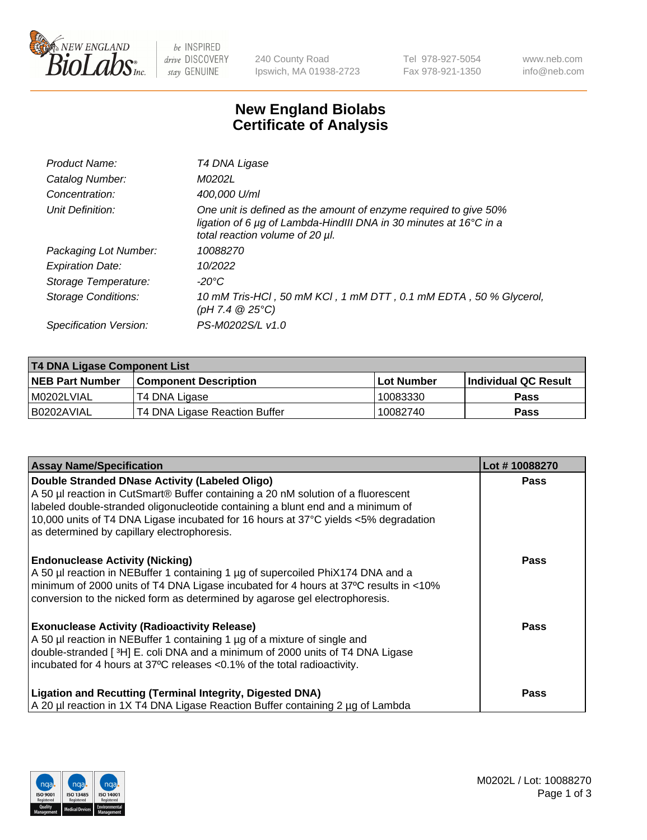

 $be$  INSPIRED drive DISCOVERY stay GENUINE

240 County Road Ipswich, MA 01938-2723 Tel 978-927-5054 Fax 978-921-1350 www.neb.com info@neb.com

## **New England Biolabs Certificate of Analysis**

| Product Name:           | T4 DNA Ligase                                                                                                                                                            |
|-------------------------|--------------------------------------------------------------------------------------------------------------------------------------------------------------------------|
| Catalog Number:         | M0202L                                                                                                                                                                   |
| Concentration:          | 400,000 U/ml                                                                                                                                                             |
| Unit Definition:        | One unit is defined as the amount of enzyme required to give 50%<br>ligation of 6 µg of Lambda-HindIII DNA in 30 minutes at 16°C in a<br>total reaction volume of 20 µl. |
| Packaging Lot Number:   | 10088270                                                                                                                                                                 |
| <b>Expiration Date:</b> | 10/2022                                                                                                                                                                  |
| Storage Temperature:    | $-20^{\circ}$ C                                                                                                                                                          |
| Storage Conditions:     | 10 mM Tris-HCl, 50 mM KCl, 1 mM DTT, 0.1 mM EDTA, 50 % Glycerol,<br>(pH 7.4 $@25°C$ )                                                                                    |
| Specification Version:  | PS-M0202S/L v1.0                                                                                                                                                         |

| T4 DNA Ligase Component List |                               |            |                             |  |  |
|------------------------------|-------------------------------|------------|-----------------------------|--|--|
| <b>NEB Part Number</b>       | <b>Component Description</b>  | Lot Number | <b>Individual QC Result</b> |  |  |
| I M0202LVIAL                 | T4 DNA Ligase                 | 10083330   | Pass                        |  |  |
| I B0202AVIAL                 | T4 DNA Ligase Reaction Buffer | 10082740   | <b>Pass</b>                 |  |  |

| <b>Assay Name/Specification</b>                                                                                                                                                                                                                                                                                                                 | Lot #10088270 |
|-------------------------------------------------------------------------------------------------------------------------------------------------------------------------------------------------------------------------------------------------------------------------------------------------------------------------------------------------|---------------|
| Double Stranded DNase Activity (Labeled Oligo)<br>A 50 µl reaction in CutSmart® Buffer containing a 20 nM solution of a fluorescent<br>labeled double-stranded oligonucleotide containing a blunt end and a minimum of<br>10,000 units of T4 DNA Ligase incubated for 16 hours at 37°C yields <5% degradation                                   | <b>Pass</b>   |
| as determined by capillary electrophoresis.<br><b>Endonuclease Activity (Nicking)</b><br>A 50 µl reaction in NEBuffer 1 containing 1 µg of supercoiled PhiX174 DNA and a<br>minimum of 2000 units of T4 DNA Ligase incubated for 4 hours at 37°C results in <10%<br>conversion to the nicked form as determined by agarose gel electrophoresis. | <b>Pass</b>   |
| <b>Exonuclease Activity (Radioactivity Release)</b><br>A 50 µl reaction in NEBuffer 1 containing 1 µg of a mixture of single and<br>double-stranded [3H] E. coli DNA and a minimum of 2000 units of T4 DNA Ligase<br>incubated for 4 hours at 37°C releases <0.1% of the total radioactivity.                                                   | <b>Pass</b>   |
| <b>Ligation and Recutting (Terminal Integrity, Digested DNA)</b><br>A 20 µl reaction in 1X T4 DNA Ligase Reaction Buffer containing 2 µg of Lambda                                                                                                                                                                                              | <b>Pass</b>   |

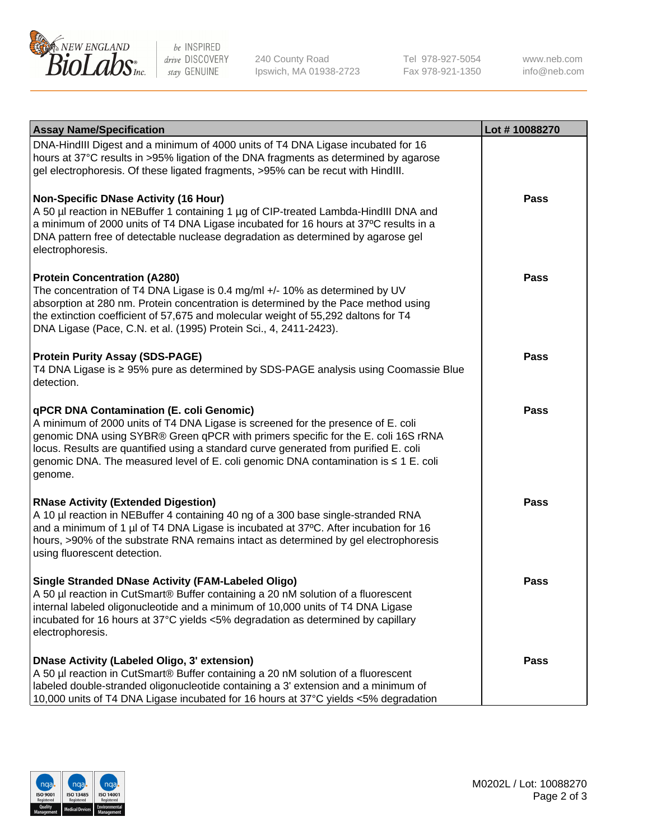

be INSPIRED drive DISCOVERY stay GENUINE

240 County Road Ipswich, MA 01938-2723 Tel 978-927-5054 Fax 978-921-1350

www.neb.com info@neb.com

| <b>Assay Name/Specification</b>                                                                                                                                                                                                                                                                                                                                                                             | Lot #10088270 |
|-------------------------------------------------------------------------------------------------------------------------------------------------------------------------------------------------------------------------------------------------------------------------------------------------------------------------------------------------------------------------------------------------------------|---------------|
| DNA-HindIII Digest and a minimum of 4000 units of T4 DNA Ligase incubated for 16<br>hours at 37°C results in >95% ligation of the DNA fragments as determined by agarose<br>gel electrophoresis. Of these ligated fragments, >95% can be recut with HindIII.                                                                                                                                                |               |
| <b>Non-Specific DNase Activity (16 Hour)</b><br>A 50 µl reaction in NEBuffer 1 containing 1 µg of CIP-treated Lambda-HindIII DNA and<br>a minimum of 2000 units of T4 DNA Ligase incubated for 16 hours at 37°C results in a<br>DNA pattern free of detectable nuclease degradation as determined by agarose gel<br>electrophoresis.                                                                        | <b>Pass</b>   |
| <b>Protein Concentration (A280)</b><br>The concentration of T4 DNA Ligase is 0.4 mg/ml +/- 10% as determined by UV<br>absorption at 280 nm. Protein concentration is determined by the Pace method using<br>the extinction coefficient of 57,675 and molecular weight of 55,292 daltons for T4<br>DNA Ligase (Pace, C.N. et al. (1995) Protein Sci., 4, 2411-2423).                                         | Pass          |
| <b>Protein Purity Assay (SDS-PAGE)</b><br>T4 DNA Ligase is ≥ 95% pure as determined by SDS-PAGE analysis using Coomassie Blue<br>detection.                                                                                                                                                                                                                                                                 | <b>Pass</b>   |
| qPCR DNA Contamination (E. coli Genomic)<br>A minimum of 2000 units of T4 DNA Ligase is screened for the presence of E. coli<br>genomic DNA using SYBR® Green qPCR with primers specific for the E. coli 16S rRNA<br>locus. Results are quantified using a standard curve generated from purified E. coli<br>genomic DNA. The measured level of E. coli genomic DNA contamination is ≤ 1 E. coli<br>genome. | <b>Pass</b>   |
| <b>RNase Activity (Extended Digestion)</b><br>A 10 µl reaction in NEBuffer 4 containing 40 ng of a 300 base single-stranded RNA<br>and a minimum of 1 µl of T4 DNA Ligase is incubated at 37°C. After incubation for 16<br>hours, >90% of the substrate RNA remains intact as determined by gel electrophoresis<br>using fluorescent detection.                                                             | <b>Pass</b>   |
| <b>Single Stranded DNase Activity (FAM-Labeled Oligo)</b><br>A 50 µl reaction in CutSmart® Buffer containing a 20 nM solution of a fluorescent<br>internal labeled oligonucleotide and a minimum of 10,000 units of T4 DNA Ligase<br>incubated for 16 hours at 37°C yields <5% degradation as determined by capillary<br>electrophoresis.                                                                   | Pass          |
| <b>DNase Activity (Labeled Oligo, 3' extension)</b><br>A 50 µl reaction in CutSmart® Buffer containing a 20 nM solution of a fluorescent<br>labeled double-stranded oligonucleotide containing a 3' extension and a minimum of<br>10,000 units of T4 DNA Ligase incubated for 16 hours at 37°C yields <5% degradation                                                                                       | Pass          |